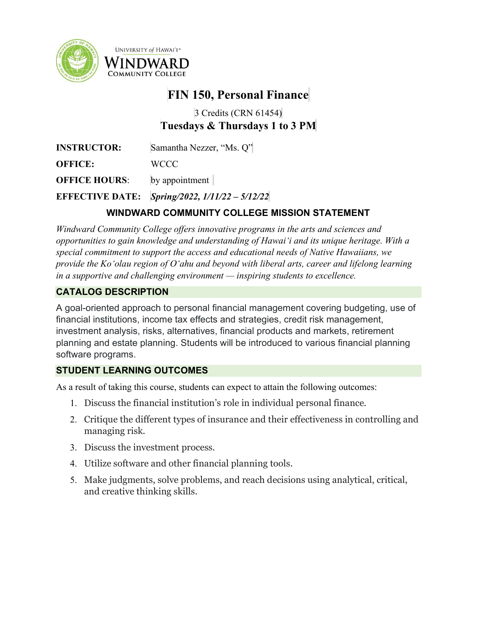

UNIVERSITY of HAWAI'I® WINDWARD **COMMUNITY COLLEGE** 

# FIN 150, Personal Finance

3 Credits (CRN 61454) Tuesdays & Thursdays 1 to 3 PM

| <b>INSTRUCTOR:</b>   | Samantha Nezzer, "Ms. Q"                       |
|----------------------|------------------------------------------------|
| <b>OFFICE:</b>       | <b>WCCC</b>                                    |
| <b>OFFICE HOURS:</b> | by appointment $\vert$                         |
|                      | EFFECTIVE DATE: Spring/2022, 1/11/22 - 5/12/22 |

# WINDWARD COMMUNITY COLLEGE MISSION STATEMENT

Windward Community College offers innovative programs in the arts and sciences and opportunities to gain knowledge and understanding of Hawai'i and its unique heritage. With a special commitment to support the access and educational needs of Native Hawaiians, we provide the Ko'olau region of O'ahu and beyond with liberal arts, career and lifelong learning in a supportive and challenging environment — inspiring students to excellence.

## CATALOG DESCRIPTION

A goal-oriented approach to personal financial management covering budgeting, use of financial institutions, income tax effects and strategies, credit risk management, investment analysis, risks, alternatives, financial products and markets, retirement planning and estate planning. Students will be introduced to various financial planning software programs.

# STUDENT LEARNING OUTCOMES

As a result of taking this course, students can expect to attain the following outcomes:

- 1. Discuss the financial institution's role in individual personal finance.
- 2. Critique the different types of insurance and their effectiveness in controlling and managing risk.
- 3. Discuss the investment process.
- 4. Utilize software and other financial planning tools.
- 5. Make judgments, solve problems, and reach decisions using analytical, critical, and creative thinking skills.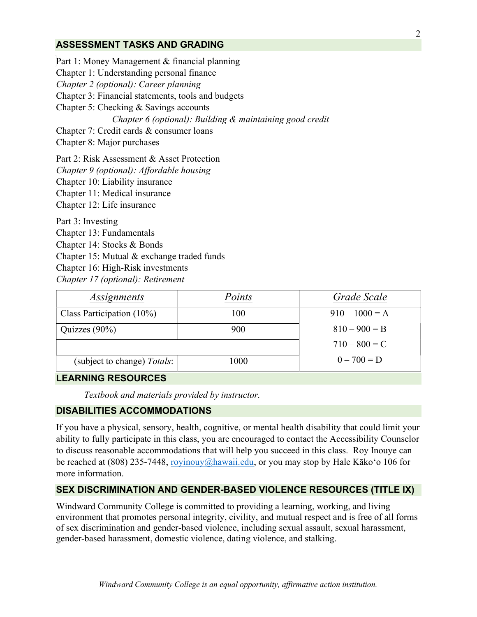#### ASSESSMENT TASKS AND GRADING

Part 1: Money Management & financial planning Chapter 1: Understanding personal finance Chapter 2 (optional): Career planning Chapter 3: Financial statements, tools and budgets Chapter 5: Checking & Savings accounts Chapter 6 (optional): Building & maintaining good credit Chapter 7: Credit cards & consumer loans Chapter 8: Major purchases Part 2: Risk Assessment & Asset Protection Chapter 9 (optional): Affordable housing

Chapter 10: Liability insurance

Chapter 11: Medical insurance

Chapter 12: Life insurance

Part 3: Investing

Chapter 13: Fundamentals

Chapter 14: Stocks & Bonds

Chapter 15: Mutual & exchange traded funds

Chapter 16: High-Risk investments

Chapter 17 (optional): Retirement

| Assignments                  | Points | Grade Scale      |
|------------------------------|--------|------------------|
| Class Participation $(10\%)$ | 100    | $910 - 1000 = A$ |
| Quizzes $(90\%)$             | 900    | $810 - 900 = B$  |
|                              |        | $710 - 800 = C$  |
| (subject to change) Totals:  | 1000   | $0 - 700 = D$    |

#### LEARNING RESOURCES

Textbook and materials provided by instructor.

#### DISABILITIES ACCOMMODATIONS

If you have a physical, sensory, health, cognitive, or mental health disability that could limit your ability to fully participate in this class, you are encouraged to contact the Accessibility Counselor to discuss reasonable accommodations that will help you succeed in this class. Roy Inouye can be reached at (808) 235-7448, royinouy@hawaii.edu, or you may stop by Hale Kāko'o 106 for more information.

## SEX DISCRIMINATION AND GENDER-BASED VIOLENCE RESOURCES (TITLE IX)

Windward Community College is committed to providing a learning, working, and living environment that promotes personal integrity, civility, and mutual respect and is free of all forms of sex discrimination and gender-based violence, including sexual assault, sexual harassment, gender-based harassment, domestic violence, dating violence, and stalking.